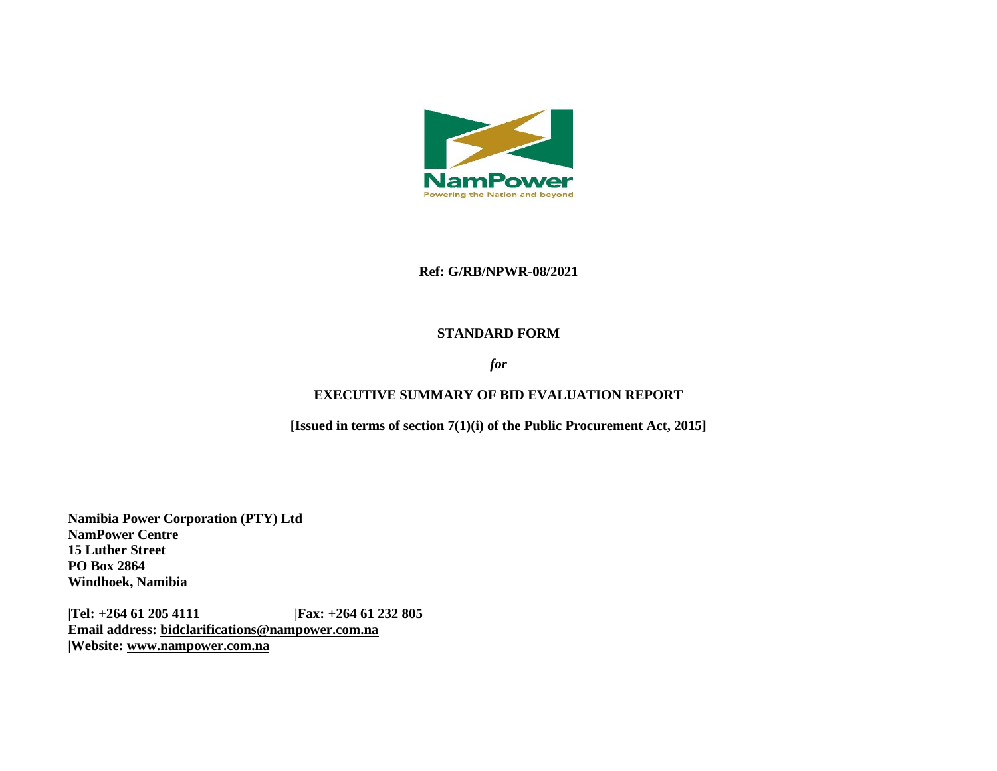

#### **Ref: G/RB/NPWR-08/2021**

#### **STANDARD FORM**

### *for*

### **EXECUTIVE SUMMARY OF BID EVALUATION REPORT**

**[Issued in terms of section 7(1)(i) of the Public Procurement Act, 2015]** 

**Namibia Power Corporation (PTY) Ltd NamPower Centre 15 Luther Street PO Box 2864 Windhoek, Namibia**

**|Tel: +264 61 205 4111 |Fax: +264 61 232 805 Email address: [bidclarifications@nampower.com.na](mailto:bidclarifications@nampower.com.na) |Website: [www.n](http://www./)ampower.com.na**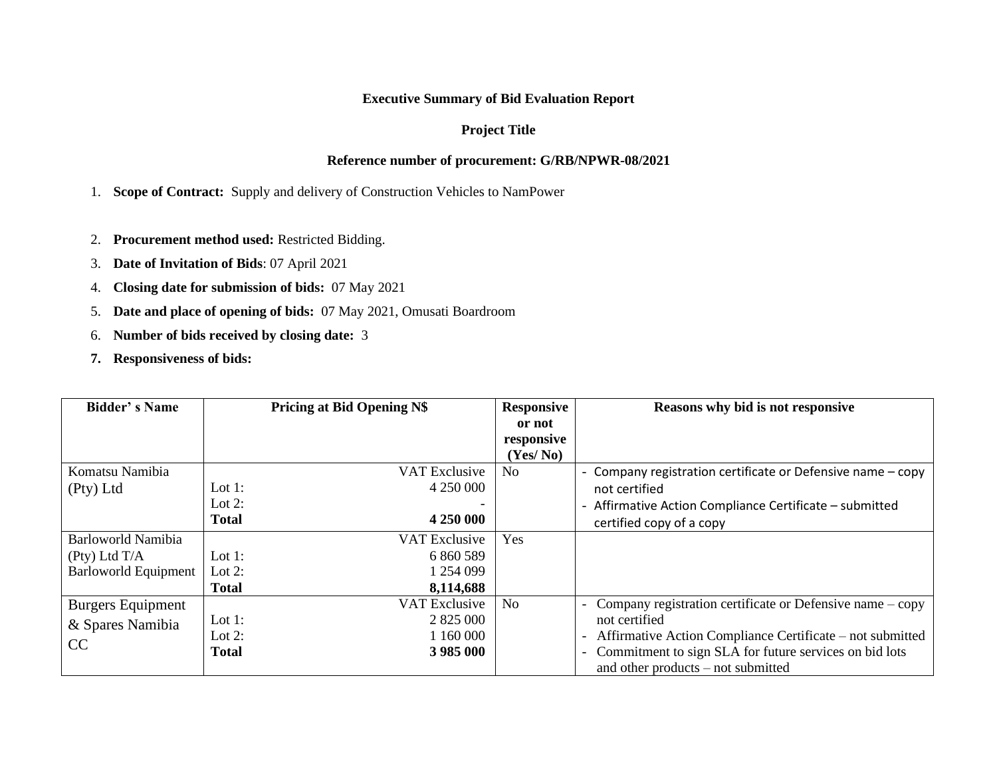# **Executive Summary of Bid Evaluation Report**

# **Project Title**

## **Reference number of procurement: G/RB/NPWR-08/2021**

1. **Scope of Contract:** Supply and delivery of Construction Vehicles to NamPower

- 2. **Procurement method used:** Restricted Bidding.
- 3. **Date of Invitation of Bids**: 07 April 2021
- 4. **Closing date for submission of bids:** 07 May 2021
- 5. **Date and place of opening of bids:** 07 May 2021, Omusati Boardroom
- 6. **Number of bids received by closing date:** 3
- **7. Responsiveness of bids:**

| <b>Bidder's Name</b>        |              | <b>Pricing at Bid Opening N\$</b> |                | Reasons why bid is not responsive                                 |  |
|-----------------------------|--------------|-----------------------------------|----------------|-------------------------------------------------------------------|--|
|                             |              |                                   | or not         |                                                                   |  |
|                             |              |                                   | responsive     |                                                                   |  |
|                             |              |                                   | (Yes/No)       |                                                                   |  |
| Komatsu Namibia             |              | VAT Exclusive                     | N <sub>o</sub> | - Company registration certificate or Defensive name - copy       |  |
| (Pty) Ltd                   | Lot 1:       | 4 250 000                         |                | not certified                                                     |  |
|                             | Lot $2$ :    |                                   |                | - Affirmative Action Compliance Certificate - submitted           |  |
|                             | <b>Total</b> | 4 250 000                         |                | certified copy of a copy                                          |  |
| <b>Barloworld Namibia</b>   |              | VAT Exclusive                     | Yes            |                                                                   |  |
| (Pty) LtdT/A                | Lot 1:       | 6 860 589                         |                |                                                                   |  |
| <b>Barloworld Equipment</b> | Lot 2:       | 1 254 099                         |                |                                                                   |  |
|                             | <b>Total</b> | 8,114,688                         |                |                                                                   |  |
| <b>Burgers Equipment</b>    |              | <b>VAT Exclusive</b>              | N <sub>o</sub> | Company registration certificate or Defensive name $-\text{copy}$ |  |
| & Spares Namibia            | Lot 1:       | 2 825 000                         |                | not certified                                                     |  |
| CC                          | Lot 2:       | 1 160 000                         |                | Affirmative Action Compliance Certificate – not submitted         |  |
|                             | <b>Total</b> | 3 985 000                         |                | - Commitment to sign SLA for future services on bid lots          |  |
|                             |              |                                   |                | and other products $-$ not submitted                              |  |